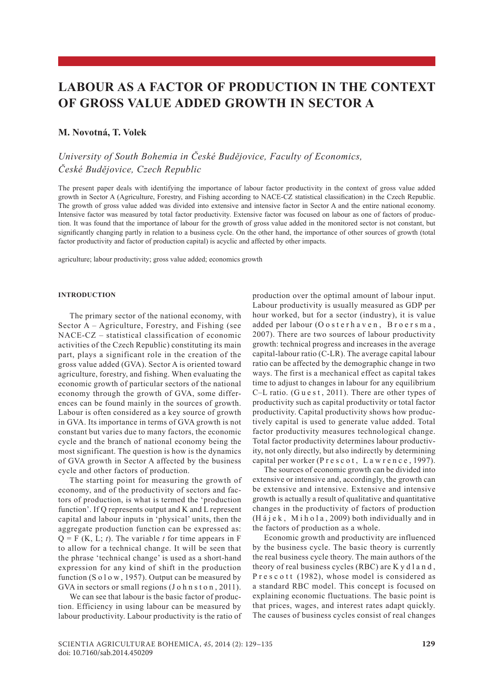# **LABOUR as A Factor of Production IN the Context of Gross Value Added Growth in Sector A**

# **M. Novotná, T. Volek**

# *University of South Bohemia in České Budějovice, Faculty of Economics, České Budějovice, Czech Republic*

The present paper deals with identifying the importance of labour factor productivity in the context of gross value added growth in Sector A (Agriculture, Forestry, and Fishing according to NACE-CZ statistical classification) in the Czech Republic. The growth of gross value added was divided into extensive and intensive factor in Sector A and the entire national economy. Intensive factor was measured by total factor productivity. Extensive factor was focused on labour as one of factors of production. It was found that the importance of labour for the growth of gross value added in the monitored sector is not constant, but significantly changing partly in relation to a business cycle. On the other hand, the importance of other sources of growth (total factor productivity and factor of production capital) is acyclic and affected by other impacts.

agriculture; labour productivity; gross value added; economics growth

#### **INTRODUCTION**

The primary sector of the national economy, with Sector A – Agriculture, Forestry, and Fishing (see NACE-CZ – statistical classification of economic activities of the Czech Republic) constituting its main part, plays a significant role in the creation of the gross value added (GVA). Sector A is oriented toward agriculture, forestry, and fishing. When evaluating the economic growth of particular sectors of the national economy through the growth of GVA, some differences can be found mainly in the sources of growth. Labour is often considered as a key source of growth in GVA. Its importance in terms of GVA growth is not constant but varies due to many factors, the economic cycle and the branch of national economy being the most significant. The question is how is the dynamics of GVA growth in Sector A affected by the business cycle and other factors of production.

The starting point for measuring the growth of economy, and of the productivity of sectors and factors of production, is what is termed the 'production function'. If Q represents output and K and L represent capital and labour inputs in 'physical' units, then the aggregate production function can be expressed as:  $Q = F(K, L; t)$ . The variable *t* for time appears in F to allow for a technical change. It will be seen that the phrase 'technical change' is used as a short-hand expression for any kind of shift in the production function (S  $o$  l  $o$  w, 1957). Output can be measured by GVA in sectors or small regions (J o h n s t o n, 2011).

We can see that labour is the basic factor of production. Efficiency in using labour can be measured by labour productivity. Labour productivity is the ratio of production over the optimal amount of labour input. Labour productivity is usually measured as GDP per hour worked, but for a sector (industry), it is value added per labour (O o sterhaven, Broersma, 2007). There are two sources of labour productivity growth: technical progress and increases in the average capital-labour ratio (C-LR). The average capital labour ratio can be affected by the demographic change in two ways. The first is a mechanical effect as capital takes time to adjust to changes in labour for any equilibrium C–L ratio. (G u e s t, 2011). There are other types of productivity such as capital productivity or total factor productivity. Capital productivity shows how productively capital is used to generate value added. Total factor productivity measures technological change. Total factor productivity determines labour productivity, not only directly, but also indirectly by determining capital per worker (P r e s c o t, L a w r e n c e, 1997).

The sources of economic growth can be divided into extensive or intensive and, accordingly, the growth can be extensive and intensive. Extensive and intensive growth is actually a result of qualitative and quantitative changes in the productivity of factors of production (Hájek, Mihola, 2009) both individually and in the factors of production as a whole.

Economic growth and productivity are influenced by the business cycle. The basic theory is currently the real business cycle theory. The main authors of the theory of real business cycles (RBC) are K y d l a n d , P r e s c o t t (1982), whose model is considered as a standard RBC model. This concept is focused on explaining economic fluctuations. The basic point is that prices, wages, and interest rates adapt quickly. The causes of business cycles consist of real changes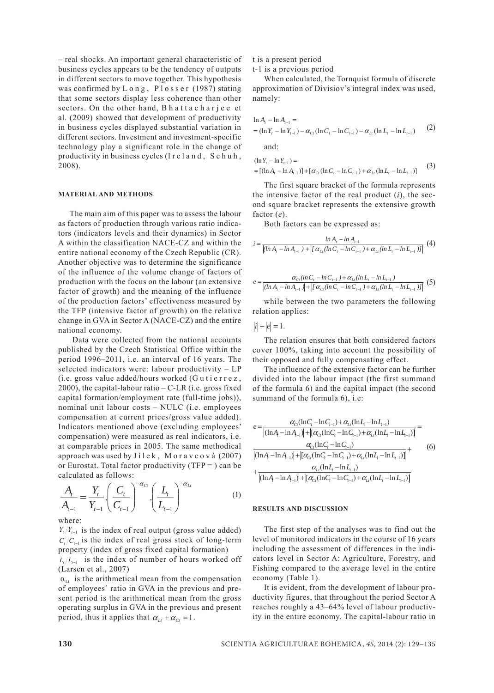– real shocks. An important general characteristic of business cycles appears to be the tendency of outputs in different sectors to move together. This hypothesis was confirmed by Long, Plosser (1987) stating that some sectors display less coherence than other sectors. On the other hand, B h a t t a c h a r j e e et al. (2009) showed that development of productivity in business cycles displayed substantial variation in different sectors. Investment and investment-specific technology play a significant role in the change of productivity in business cycles (I r e l a n d , S c h u h , 2008).

#### **Material and MethodS**

The main aim of this paper was to assess the labour as factors of production through various ratio indicators (indicators levels and their dynamics) in Sector A within the classification NACE-CZ and within the entire national economy of the Czech Republic (CR). Another objective was to determine the significance of the influence of the volume change of factors of production with the focus on the labour (an extensive factor of growth) and the meaning of the influence of the production factors' effectiveness measured by the TFP (intensive factor of growth) on the relative change in GVA in Sector A (NACE-CZ) and the entire national economy.

 Data were collected from the national accounts published by the Czech Statistical Office within the period 1996–2011, i.e. an interval of 16 years. The selected indicators were: labour productivity – LP (i.e. gross value added/hours worked (G u t i e r r e z , 2000), the capital-labour ratio  $-C-LR$  (i.e. gross fixed capital formation/employment rate (full-time jobs)), nominal unit labour costs – NULC (i.e. employees compensation at current prices/gross value added). Indicators mentioned above (excluding employees' compensation) were measured as real indicators, i.e. at comparable prices in 2005. The same methodical approach was used by J í l e k , M o r a v c o v á (2007) or Eurostat. Total factor productivity ( $TFP = 0$ ) can be calculated as follows:

$$
\frac{A_t}{A_{t-1}} = \frac{Y_t}{Y_{t-1}} \left(\frac{C_t}{C_{t-1}}\right)^{-\alpha_{C_t}} \left(\frac{L_t}{L_{t-1}}\right)^{-\alpha_{Lt}}
$$
(1)

where:

 $Y_t/Y_{t-1}$  is the index of real output (gross value added)  $C_t/C_{t-1}$  is the index of real gross stock of long-term property (index of gross fixed capital formation)

 $L_t/L_{t-1}$  is the index of number of hours worked off (Larsen et al., 2007)

 $\alpha_{\text{L}t}$  is the arithmetical mean from the compensation of employees´ ratio in GVA in the previous and present period is the arithmetical mean from the gross operating surplus in GVA in the previous and present period, thus it applies that  $\alpha_{Lt} + \alpha_{Ct} = 1$ .

t is a present period

t-1 is a previous period

When calculated, the Tornquist formula of discrete approximation of Divisiov's integral index was used, namely:

$$
\ln A_{t} - \ln A_{t-1} =
$$
  
=  $(\ln Y_{t} - \ln Y_{t-1}) - \alpha_{Ct} (\ln C_{t} - \ln C_{t-1}) - \alpha_{Lt} (\ln L_{t} - \ln L_{t-1})$  (2)  
and:

$$
(\ln Y_t - \ln Y_{t-1}) =
$$
  
= [(ln A<sub>t</sub> - ln A<sub>t-1</sub>)] + [\alpha<sub>Ct</sub> (ln C<sub>t</sub> - ln C<sub>t-1</sub>) + \alpha<sub>L</sub> (ln L<sub>t</sub> - ln L<sub>t-1</sub>)] (3)

The first square bracket of the formula represents the intensive factor of the real product (*i*), the second square bracket represents the extensive growth factor (*e*).

Both factors can be expressed as:

$$
i = \frac{\ln A_{t} - \ln A_{t-1}}{[(\ln A_{t} - \ln A_{t-1})] + |[ \alpha_{Ct} (\ln C_{t} - \ln C_{t-1}) + \alpha_{Li} (\ln L_{t} - \ln L_{t-1})]|} (4)
$$

$$
e = \frac{\alpha_{C_1} (ln C_1 - ln C_{t-1}) + \alpha_{Li} (ln L_t - ln L_{t-1})}{\left| (ln A_t - ln A_{t-1}) \right| + \left| \left( \alpha_{C_1} (ln C_t - ln C_{t-1}) + \alpha_{Li} (ln L_t - ln L_{t-1}) \right) \right|} (5)
$$

while between the two parameters the following relation applies:

 $|i| + |e| = 1$ .

The relation ensures that both considered factors cover 100%, taking into account the possibility of their opposed and fully compensating effect.

The influence of the extensive factor can be further divided into the labour impact (the first summand of the formula 6) and the capital impact (the second summand of the formula 6), i.e:

$$
e = \frac{\alpha_{C_{\ell}}(\ln C_{\ell} - \ln C_{\ell-1}) + \alpha_{L_{\ell}}(\ln L_{\ell} - \ln L_{\ell-1})}{\left| (\ln A_{\ell} - \ln A_{\ell-1}) \right| + \left[ \alpha_{C_{\ell}}(\ln C_{\ell} - \ln C_{\ell-1}) + \alpha_{L_{\ell}}(\ln L_{\ell} - \ln L_{\ell-1}) \right]} = \frac{\alpha_{C_{\ell}}(\ln C_{\ell} - \ln C_{\ell-1})}{\left( (\ln A_{\ell} - \ln A_{\ell-1}) \right) + \left[ \alpha_{C_{\ell}}(\ln C_{\ell} - \ln C_{\ell-1}) + \alpha_{L_{\ell}}(\ln L_{\ell} - \ln L_{\ell-1}) \right]} + \frac{\alpha_{L_{\ell}}(\ln L_{\ell} - \ln L_{\ell-1})}{\left( (\ln A_{\ell} - \ln A_{\ell-1}) \right) + \left[ \alpha_{C_{\ell}}(\ln C_{\ell} - \ln C_{\ell-1}) + \alpha_{L_{\ell}}(\ln L_{\ell} - \ln L_{\ell-1}) \right]}\n\tag{6}
$$

#### **Results and discussion**

The first step of the analyses was to find out the level of monitored indicators in the course of 16 years including the assessment of differences in the indicators level in Sector A: Agriculture, Forestry, and Fishing compared to the average level in the entire economy (Table 1).

It is evident, from the development of labour productivity figures, that throughout the period Sector A reaches roughly a 43–64% level of labour productivity in the entire economy. The capital-labour ratio in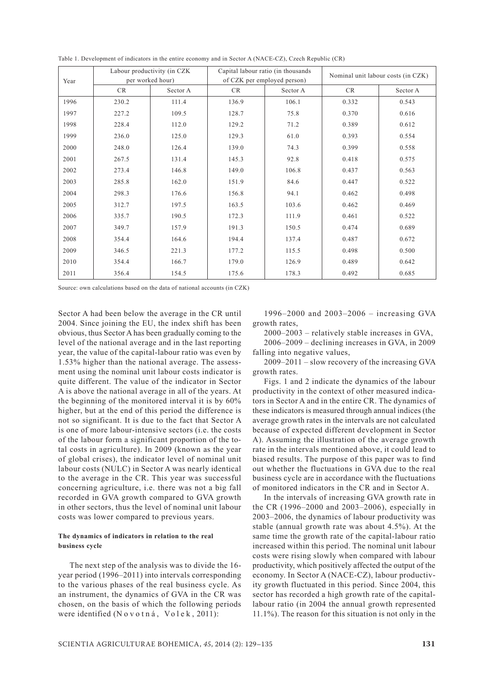| Year | Labour productivity (in CZK) |          | Capital labour ratio (in thousands |          | Nominal unit labour costs (in CZK) |          |
|------|------------------------------|----------|------------------------------------|----------|------------------------------------|----------|
|      | per worked hour)             |          | of CZK per employed person)        |          |                                    |          |
|      | CR                           | Sector A | <b>CR</b>                          | Sector A | CR                                 | Sector A |
| 1996 | 230.2                        | 111.4    | 136.9                              | 106.1    | 0.332                              | 0.543    |
| 1997 | 227.2                        | 109.5    | 128.7                              | 75.8     | 0.370                              | 0.616    |
| 1998 | 228.4                        | 112.0    | 129.2                              | 71.2     | 0.389                              | 0.612    |
| 1999 | 236.0                        | 125.0    | 129.3                              | 61.0     | 0.393                              | 0.554    |
| 2000 | 248.0                        | 126.4    | 139.0                              | 74.3     | 0.399                              | 0.558    |
| 2001 | 267.5                        | 131.4    | 145.3                              | 92.8     | 0.418                              | 0.575    |
| 2002 | 273.4                        | 146.8    | 149.0                              | 106.8    | 0.437                              | 0.563    |
| 2003 | 285.8                        | 162.0    | 151.9                              | 84.6     | 0.447                              | 0.522    |
| 2004 | 298.3                        | 176.6    | 156.8                              | 94.1     | 0.462                              | 0.498    |
| 2005 | 312.7                        | 197.5    | 163.5                              | 103.6    | 0.462                              | 0.469    |
| 2006 | 335.7                        | 190.5    | 172.3                              | 111.9    | 0.461                              | 0.522    |
| 2007 | 349.7                        | 157.9    | 191.3                              | 150.5    | 0.474                              | 0.689    |
| 2008 | 354.4                        | 164.6    | 194.4                              | 137.4    | 0.487                              | 0.672    |
| 2009 | 346.5                        | 221.3    | 177.2                              | 115.5    | 0.498                              | 0.500    |
| 2010 | 354.4                        | 166.7    | 179.0                              | 126.9    | 0.489                              | 0.642    |
| 2011 | 356.4                        | 154.5    | 175.6                              | 178.3    | 0.492                              | 0.685    |

Table 1. Development of indicators in the entire economy and in Sector A (NACE-CZ), Czech Republic (CR)

Source: own calculations based on the data of national accounts (in CZK)

Sector A had been below the average in the CR until 2004. Since joining the EU, the index shift has been obvious, thus Sector A has been gradually coming to the level of the national average and in the last reporting year, the value of the capital-labour ratio was even by 1.53% higher than the national average. The assessment using the nominal unit labour costs indicator is quite different. The value of the indicator in Sector A is above the national average in all of the years. At the beginning of the monitored interval it is by 60% higher, but at the end of this period the difference is not so significant. It is due to the fact that Sector A is one of more labour-intensive sectors (i.e. the costs of the labour form a significant proportion of the total costs in agriculture). In 2009 (known as the year of global crises), the indicator level of nominal unit labour costs (NULC) in Sector A was nearly identical to the average in the CR. This year was successful concerning agriculture, i.e. there was not a big fall recorded in GVA growth compared to GVA growth in other sectors, thus the level of nominal unit labour costs was lower compared to previous years.

## **The dynamics of indicators in relation to the real business cycle**

The next step of the analysis was to divide the 16 year period (1996–2011) into intervals corresponding to the various phases of the real business cycle. As an instrument, the dynamics of GVA in the CR was chosen, on the basis of which the following periods were identified (N o v o t n á, V o l e k, 2011):

1996–2000 and 2003–2006 – increasing GVA growth rates,

2000–2003 – relatively stable increases in GVA, 2006–2009 – declining increases in GVA, in 2009 falling into negative values,

2009–2011 – slow recovery of the increasing GVA growth rates.

Figs. 1 and 2 indicate the dynamics of the labour productivity in the context of other measured indicators in Sector A and in the entire CR. The dynamics of these indicators is measured through annual indices (the average growth rates in the intervals are not calculated because of expected different development in Sector A). Assuming the illustration of the average growth rate in the intervals mentioned above, it could lead to biased results. The purpose of this paper was to find out whether the fluctuations in GVA due to the real business cycle are in accordance with the fluctuations of monitored indicators in the CR and in Sector A.

In the intervals of increasing GVA growth rate in the CR (1996–2000 and 2003–2006), especially in 2003–2006, the dynamics of labour productivity was stable (annual growth rate was about 4.5%). At the same time the growth rate of the capital-labour ratio increased within this period. The nominal unit labour costs were rising slowly when compared with labour productivity, which positively affected the output of the economy. In Sector A (NACE-CZ), labour productivity growth fluctuated in this period. Since 2004, this sector has recorded a high growth rate of the capitallabour ratio (in 2004 the annual growth represented 11.1%). The reason for this situation is not only in the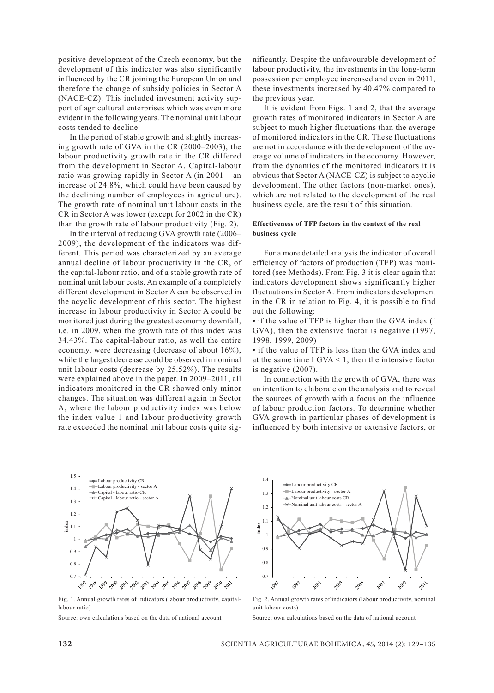positive development of the Czech economy, but the development of this indicator was also significantly influenced by the CR joining the European Union and therefore the change of subsidy policies in Sector A (NACE-CZ). This included investment activity support of agricultural enterprises which was even more evident in the following years. The nominal unit labour costs tended to decline.

In the period of stable growth and slightly increasing growth rate of GVA in the CR (2000–2003), the labour productivity growth rate in the CR differed from the development in Sector A. Capital-labour ratio was growing rapidly in Sector A (in 2001 – an increase of 24.8%, which could have been caused by the declining number of employees in agriculture). The growth rate of nominal unit labour costs in the CR in Sector A was lower (except for 2002 in the CR) than the growth rate of labour productivity (Fig. 2).

In the interval of reducing GVA growth rate (2006– 2009), the development of the indicators was different. This period was characterized by an average annual decline of labour productivity in the CR, of the capital-labour ratio, and of a stable growth rate of nominal unit labour costs. An example of a completely different development in Sector A can be observed in the acyclic development of this sector. The highest increase in labour productivity in Sector A could be monitored just during the greatest economy downfall, i.e. in 2009, when the growth rate of this index was 34.43%. The capital-labour ratio, as well the entire economy, were decreasing (decrease of about 16%), while the largest decrease could be observed in nominal unit labour costs (decrease by 25.52%). The results were explained above in the paper. In 2009–2011, all indicators monitored in the CR showed only minor changes. The situation was different again in Sector A, where the labour productivity index was below the index value 1 and labour productivity growth rate exceeded the nominal unit labour costs quite sig-

nificantly. Despite the unfavourable development of labour productivity, the investments in the long-term possession per employee increased and even in 2011, these investments increased by 40.47% compared to the previous year.

It is evident from Figs. 1 and 2, that the average growth rates of monitored indicators in Sector A are subject to much higher fluctuations than the average of monitored indicators in the CR. These fluctuations are not in accordance with the development of the average volume of indicators in the economy. However, from the dynamics of the monitored indicators it is obvious that Sector A (NACE-CZ) is subject to acyclic development. The other factors (non-market ones), which are not related to the development of the real business cycle, are the result of this situation.

## **Effectiveness of TFP factors in the context of the real business cycle**

For a more detailed analysis the indicator of overall efficiency of factors of production (TFP) was monitored (see Methods). From Fig. 3 it is clear again that indicators development shows significantly higher fluctuations in Sector A. From indicators development in the CR in relation to Fig. 4, it is possible to find out the following:

• if the value of TFP is higher than the GVA index (I GVA), then the extensive factor is negative (1997, 1998, 1999, 2009)

• if the value of TFP is less than the GVA index and at the same time I GVA  $\leq$  1, then the intensive factor is negative (2007).

In connection with the growth of GVA, there was an intention to elaborate on the analysis and to reveal the sources of growth with a focus on the influence of labour production factors. To determine whether GVA growth in particular phases of development is influenced by both intensive or extensive factors, or



Fig. 1. Annual growth rates of indicators (labour productivity, capitallabour ratio)

Source: own calculations based on the data of national account



Fig. 2. Annual growth rates of indicators (labour productivity, nominal unit labour costs)

Source: own calculations based on the data of national account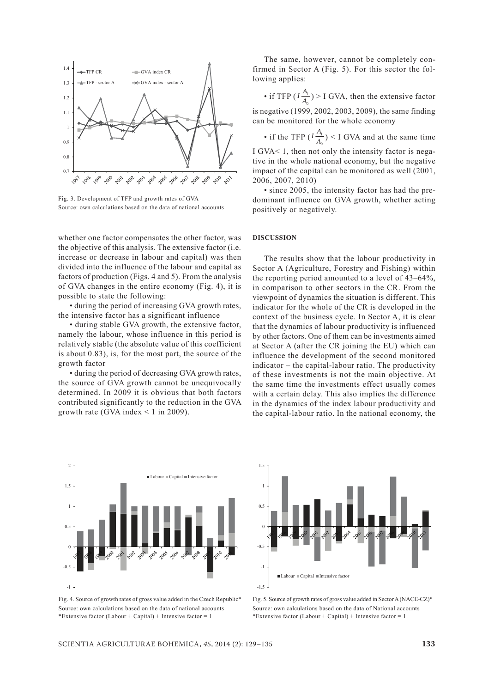

Fig. 3. Development of TFP and growth rates of GVA Source: own calculations based on the data of national accounts

whether one factor compensates the other factor, was the objective of this analysis. The extensive factor (i.e. increase or decrease in labour and capital) was then divided into the influence of the labour and capital as factors of production (Figs. 4 and 5). From the analysis of GVA changes in the entire economy (Fig. 4), it is possible to state the following:

• during the period of increasing GVA growth rates, the intensive factor has a significant influence

• during stable GVA growth, the extensive factor, namely the labour, whose influence in this period is relatively stable (the absolute value of this coefficient is about 0.83), is, for the most part, the source of the growth factor

• during the period of decreasing GVA growth rates, the source of GVA growth cannot be unequivocally determined. In 2009 it is obvious that both factors contributed significantly to the reduction in the GVA growth rate (GVA index  $\leq$  1 in 2009).



Fig. 4. Source of growth rates of gross value added in the Czech Republic\* Source: own calculations based on the data of national accounts \*Extensive factor (Labour + Capital) + Intensive factor = 1

The same, however, cannot be completely confirmed in Sector A (Fig. 5). For this sector the following applies:

• if TFP ( $I \frac{P}{A_0}$  $I\frac{A_1}{A_0}$ ) > I GVA, then the extensive factor is negative (1999, 2002, 2003, 2009), the same finding can be monitored for the whole economy

• if the TFP  $(I \frac{A_1}{A_0})$  < I GVA and at the same time 0 I GVA< 1, then not only the intensity factor is negative in the whole national economy, but the negative impact of the capital can be monitored as well (2001, 2006, 2007, 2010)

• since 2005, the intensity factor has had the predominant influence on GVA growth, whether acting positively or negatively.

#### **DiscuSsion**

The results show that the labour productivity in Sector A (Agriculture, Forestry and Fishing) within the reporting period amounted to a level of 43–64%, in comparison to other sectors in the CR. From the viewpoint of dynamics the situation is different. This indicator for the whole of the CR is developed in the context of the business cycle. In Sector A, it is clear that the dynamics of labour productivity is influenced by other factors. One of them can be investments aimed at Sector A (after the CR joining the EU) which can influence the development of the second monitored indicator – the capital-labour ratio. The productivity of these investments is not the main objective. At the same time the investments effect usually comes with a certain delay. This also implies the difference in the dynamics of the index labour productivity and the capital-labour ratio. In the national economy, the



Fig. 5. Source of growth rates of gross value added in Sector A (NACE-CZ)\* Source: own calculations based on the data of National accounts \*Extensive factor (Labour + Capital) + Intensive factor = 1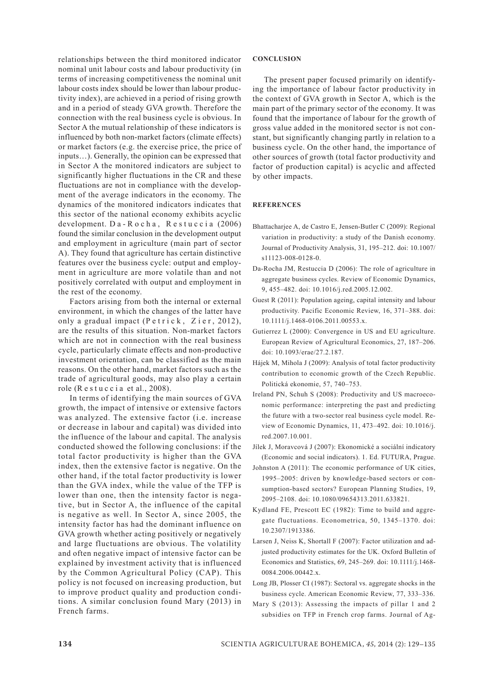relationships between the third monitored indicator nominal unit labour costs and labour productivity (in terms of increasing competitiveness the nominal unit labour costs index should be lower than labour productivity index), are achieved in a period of rising growth and in a period of steady GVA growth. Therefore the connection with the real business cycle is obvious. In Sector A the mutual relationship of these indicators is influenced by both non-market factors (climate effects) or market factors (e.g. the exercise price, the price of inputs…). Generally, the opinion can be expressed that in Sector A the monitored indicators are subject to significantly higher fluctuations in the CR and these fluctuations are not in compliance with the development of the average indicators in the economy. The dynamics of the monitored indicators indicates that this sector of the national economy exhibits acyclic development.  $D a - R o c h a$ ,  $R e s t u c c i a (2006)$ found the similar conclusion in the development output and employment in agriculture (main part of sector A). They found that agriculture has certain distinctive features over the business cycle: output and employment in agriculture are more volatile than and not positively correlated with output and employment in the rest of the economy.

Factors arising from both the internal or external environment, in which the changes of the latter have only a gradual impact  $(P \text{etric k}, Z \text{ier}, 2012)$ , are the results of this situation. Non-market factors which are not in connection with the real business cycle, particularly climate effects and non-productive investment orientation, can be classified as the main reasons. On the other hand, market factors such as the trade of agricultural goods, may also play a certain role (R e s t u c c i a et al., 2008).

In terms of identifying the main sources of GVA growth, the impact of intensive or extensive factors was analyzed. The extensive factor (i.e. increase or decrease in labour and capital) was divided into the influence of the labour and capital. The analysis conducted showed the following conclusions: if the total factor productivity is higher than the GVA index, then the extensive factor is negative. On the other hand, if the total factor productivity is lower than the GVA index, while the value of the TFP is lower than one, then the intensity factor is negative, but in Sector A, the influence of the capital is negative as well. In Sector A, since 2005, the intensity factor has had the dominant influence on GVA growth whether acting positively or negatively and large fluctuations are obvious. The volatility and often negative impact of intensive factor can be explained by investment activity that is influenced by the Common Agricultural Policy (CAP). This policy is not focused on increasing production, but to improve product quality and production conditions. A similar conclusion found Mary (2013) in French farms.

## **Conclusion**

The present paper focused primarily on identifying the importance of labour factor productivity in the context of GVA growth in Sector A, which is the main part of the primary sector of the economy. It was found that the importance of labour for the growth of gross value added in the monitored sector is not constant, but significantly changing partly in relation to a business cycle. On the other hand, the importance of other sources of growth (total factor productivity and factor of production capital) is acyclic and affected by other impacts.

### **REFERENCES**

- Bhattacharjee A, de Castro E, Jensen-Butler C (2009): Regional variation in productivity: a study of the Danish economy. Journal of Productivity Analysis, 31, 195–212. doi: 10.1007/ s11123-008-0128-0.
- Da-Rocha JM, Restuccia D (2006): The role of agriculture in aggregate business cycles. Review of Economic Dynamics, 9, 455–482. doi: 10.1016/j.red.2005.12.002.
- Guest R (2011): Population ageing, capital intensity and labour productivity. Pacific Economic Review, 16, 371–388. doi: 10.1111/j.1468-0106.2011.00553.x.
- Gutierrez L (2000): Convergence in US and EU agriculture. European Review of Agricultural Economics, 27, 187–206. doi: 10.1093/erae/27.2.187.
- Hájek M, Mihola J (2009): Analysis of total factor productivity contribution to economic growth of the Czech Republic. Politická ekonomie, 57, 740–753.
- Ireland PN, Schuh S (2008): Productivity and US macroeconomic performance: interpreting the past and predicting the future with a two-sector real business cycle model. Review of Economic Dynamics, 11, 473–492. doi: 10.1016/j. red.2007.10.001.
- Jílek J, Moravcová J (2007): Ekonomické a sociální indicatory (Economic and social indicators). 1. Ed. FUTURA, Prague.
- Johnston A (2011): The economic performance of UK cities, 1995–2005: driven by knowledge-based sectors or consumption-based sectors? European Planning Studies, 19, 2095–2108. doi: 10.1080/09654313.2011.633821.
- Kydland FE, Prescott EC (1982): Time to build and aggregate fluctuations. Econometrica, 50, 1345–1370. doi: 10.2307/1913386.
- Larsen J, Neiss K, Shortall F (2007): Factor utilization and adjusted productivity estimates for the UK. Oxford Bulletin of Economics and Statistics, 69, 245–269. doi: 10.1111/j.1468- 0084.2006.00442.x.
- Long JB, Plosser CI (1987): Sectoral vs. aggregate shocks in the business cycle. American Economic Review, 77, 333–336.
- Mary S (2013): Assessing the impacts of pillar 1 and 2 subsidies on TFP in French crop farms. Journal of Ag-